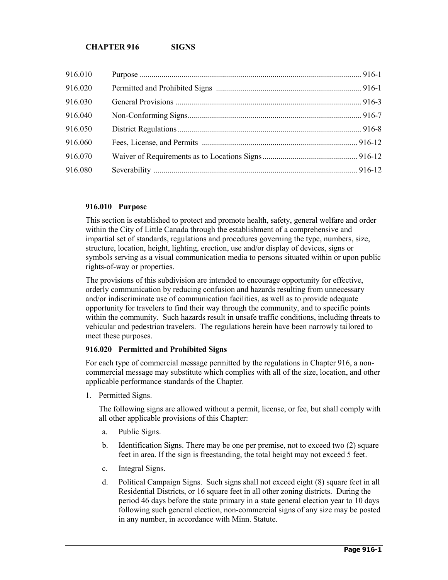| 916.010 |  |
|---------|--|
| 916.020 |  |
| 916.030 |  |
| 916.040 |  |
| 916.050 |  |
| 916.060 |  |
| 916.070 |  |
| 916.080 |  |

### **916.010 Purpose**

This section is established to protect and promote health, safety, general welfare and order within the City of Little Canada through the establishment of a comprehensive and impartial set of standards, regulations and procedures governing the type, numbers, size, structure, location, height, lighting, erection, use and/or display of devices, signs or symbols serving as a visual communication media to persons situated within or upon public rights-of-way or properties.

The provisions of this subdivision are intended to encourage opportunity for effective, orderly communication by reducing confusion and hazards resulting from unnecessary and/or indiscriminate use of communication facilities, as well as to provide adequate opportunity for travelers to find their way through the community, and to specific points within the community. Such hazards result in unsafe traffic conditions, including threats to vehicular and pedestrian travelers. The regulations herein have been narrowly tailored to meet these purposes.

# **916.020 Permitted and Prohibited Signs**

For each type of commercial message permitted by the regulations in Chapter 916, a noncommercial message may substitute which complies with all of the size, location, and other applicable performance standards of the Chapter.

1. Permitted Signs.

The following signs are allowed without a permit, license, or fee, but shall comply with all other applicable provisions of this Chapter:

- a. Public Signs.
- b. Identification Signs. There may be one per premise, not to exceed two (2) square feet in area. If the sign is freestanding, the total height may not exceed 5 feet.
- c. Integral Signs.
- d. Political Campaign Signs. Such signs shall not exceed eight (8) square feet in all Residential Districts, or 16 square feet in all other zoning districts. During the period 46 days before the state primary in a state general election year to 10 days following such general election, non-commercial signs of any size may be posted in any number, in accordance with Minn. Statute.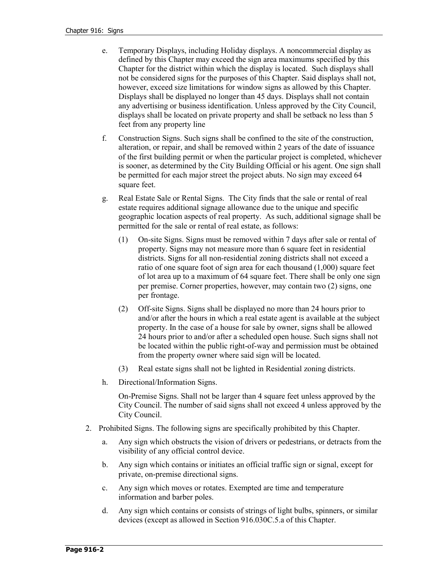- e. Temporary Displays, including Holiday displays. A noncommercial display as defined by this Chapter may exceed the sign area maximums specified by this Chapter for the district within which the display is located. Such displays shall not be considered signs for the purposes of this Chapter. Said displays shall not, however, exceed size limitations for window signs as allowed by this Chapter. Displays shall be displayed no longer than 45 days. Displays shall not contain any advertising or business identification. Unless approved by the City Council, displays shall be located on private property and shall be setback no less than 5 feet from any property line
- f. Construction Signs. Such signs shall be confined to the site of the construction, alteration, or repair, and shall be removed within 2 years of the date of issuance of the first building permit or when the particular project is completed, whichever is sooner, as determined by the City Building Official or his agent. One sign shall be permitted for each major street the project abuts. No sign may exceed 64 square feet.
- g. Real Estate Sale or Rental Signs. The City finds that the sale or rental of real estate requires additional signage allowance due to the unique and specific geographic location aspects of real property. As such, additional signage shall be permitted for the sale or rental of real estate, as follows:
	- (1) On-site Signs. Signs must be removed within 7 days after sale or rental of property. Signs may not measure more than 6 square feet in residential districts. Signs for all non-residential zoning districts shall not exceed a ratio of one square foot of sign area for each thousand (1,000) square feet of lot area up to a maximum of 64 square feet. There shall be only one sign per premise. Corner properties, however, may contain two (2) signs, one per frontage.
	- (2) Off-site Signs. Signs shall be displayed no more than 24 hours prior to and/or after the hours in which a real estate agent is available at the subject property. In the case of a house for sale by owner, signs shall be allowed 24 hours prior to and/or after a scheduled open house. Such signs shall not be located within the public right-of-way and permission must be obtained from the property owner where said sign will be located.
	- (3) Real estate signs shall not be lighted in Residential zoning districts.
- h. Directional/Information Signs.

On-Premise Signs. Shall not be larger than 4 square feet unless approved by the City Council. The number of said signs shall not exceed 4 unless approved by the City Council.

- 2. Prohibited Signs. The following signs are specifically prohibited by this Chapter.
	- a. Any sign which obstructs the vision of drivers or pedestrians, or detracts from the visibility of any official control device.
	- b. Any sign which contains or initiates an official traffic sign or signal, except for private, on-premise directional signs.
	- c. Any sign which moves or rotates. Exempted are time and temperature information and barber poles.
	- d. Any sign which contains or consists of strings of light bulbs, spinners, or similar devices (except as allowed in Section 916.030C.5.a of this Chapter.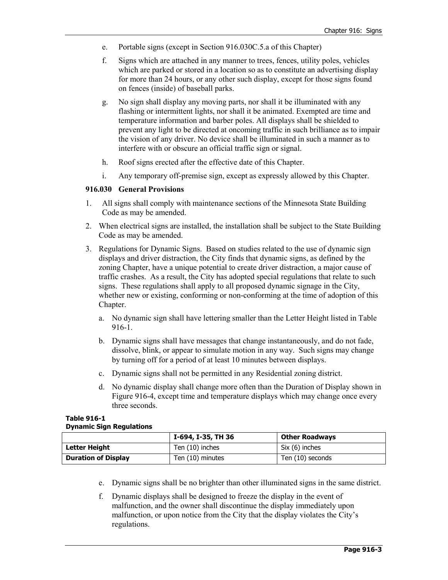- e. Portable signs (except in Section 916.030C.5.a of this Chapter)
- f. Signs which are attached in any manner to trees, fences, utility poles, vehicles which are parked or stored in a location so as to constitute an advertising display for more than 24 hours, or any other such display, except for those signs found on fences (inside) of baseball parks.
- g. No sign shall display any moving parts, nor shall it be illuminated with any flashing or intermittent lights, nor shall it be animated. Exempted are time and temperature information and barber poles. All displays shall be shielded to prevent any light to be directed at oncoming traffic in such brilliance as to impair the vision of any driver. No device shall be illuminated in such a manner as to interfere with or obscure an official traffic sign or signal.
- h. Roof signs erected after the effective date of this Chapter.
- i. Any temporary off-premise sign, except as expressly allowed by this Chapter.

### **916.030 General Provisions**

- 1. All signs shall comply with maintenance sections of the Minnesota State Building Code as may be amended.
- 2. When electrical signs are installed, the installation shall be subject to the State Building Code as may be amended.
- 3. Regulations for Dynamic Signs. Based on studies related to the use of dynamic sign displays and driver distraction, the City finds that dynamic signs, as defined by the zoning Chapter, have a unique potential to create driver distraction, a major cause of traffic crashes. As a result, the City has adopted special regulations that relate to such signs. These regulations shall apply to all proposed dynamic signage in the City, whether new or existing, conforming or non-conforming at the time of adoption of this Chapter.
	- a. No dynamic sign shall have lettering smaller than the Letter Height listed in Table 916-1.
	- b. Dynamic signs shall have messages that change instantaneously, and do not fade, dissolve, blink, or appear to simulate motion in any way. Such signs may change by turning off for a period of at least 10 minutes between displays.
	- c. Dynamic signs shall not be permitted in any Residential zoning district.
	- d. No dynamic display shall change more often than the Duration of Display shown in Figure 916-4, except time and temperature displays which may change once every three seconds.

| <b>Table 916-1</b>              |
|---------------------------------|
| <b>Dynamic Sign Regulations</b> |

|                            | I-694, I-35, TH 36 | <b>Other Roadways</b> |  |
|----------------------------|--------------------|-----------------------|--|
| Letter Height              | Ten (10) inches    | Six (6) inches        |  |
| <b>Duration of Display</b> | Ten (10) minutes   | Ten (10) seconds      |  |

- e. Dynamic signs shall be no brighter than other illuminated signs in the same district.
- f. Dynamic displays shall be designed to freeze the display in the event of malfunction, and the owner shall discontinue the display immediately upon malfunction, or upon notice from the City that the display violates the City's regulations.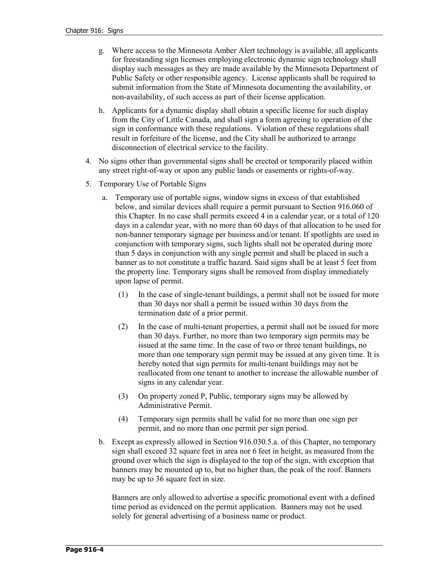- g. Where access to the Minnesota Amber Alert technology is available, all applicants for freestanding sign licenses employing electronic dynamic sign technology shall display such messages as they are made available by the Minnesota Department of Public Safety or other responsible agency. License applicants shall be required to submit information from the State of Minnesota documenting the availability, or non-availability, of such access as part of their license application.
- h. Applicants for a dynamic display shall obtain a specific license for such display from the City of Little Canada, and shall sign a form agreeing to operation of the sign in conformance with these regulations. Violation of these regulations shall result in forfeiture of the license, and the City shall be authorized to arrange disconnection of electrical service to the facility.
- 4. No signs other than governmental signs shall be erected or temporarily placed within any street right-of-way or upon any public lands or easements or rights-of-way.
- 5. Temporary Use of Portable Signs
	- a. Temporary use of portable signs, window signs in excess of that established below, and similar devices shall require a permit pursuant to Section 916.060 of this Chapter. In no case shall permits exceed 4 in a calendar year, or a total of 120 days in a calendar year, with no more than 60 days of that allocation to be used for non-banner temporary signage per business and/or tenant. If spotlights are used in conjunction with temporary signs, such lights shall not be operated during more than 5 days in conjunction with any single permit and shall be placed in such a banner as to not constitute a traffic hazard. Said signs shall be at least 5 feet from the property line. Temporary signs shall be removed from display immediately upon lapse of permit.
		- (1) In the case of single-tenant buildings, a permit shall not be issued for more than 30 days nor shall a permit be issued within 30 days from the termination date of a prior permit.
		- (2) In the case of multi-tenant properties, a permit shall not be issued for more than 30 days. Further, no more than two temporary sign permits may be issued at the same time. In the case of two or three tenant buildings, no more than one temporary sign permit may be issued at any given time. It is hereby noted that sign permits for multi-tenant buildings may not be reallocated from one tenant to another to increase the allowable number of signs in any calendar year.
		- (3) On property zoned P, Public, temporary signs may be allowed by Administrative Permit.
		- (4) Temporary sign permits shall be valid for no more than one sign per permit, and no more than one permit per sign period.
	- b. Except as expressly allowed in Section 916.030.5.a. of this Chapter, no temporary sign shall exceed 32 square feet in area nor 6 feet in height, as measured from the ground over which the sign is displayed to the top of the sign, with exception that banners may be mounted up to, but no higher than, the peak of the roof. Banners may be up to 36 square feet in size.

Banners are only allowed to advertise a specific promotional event with a defined time period as evidenced on the permit application. Banners may not be used solely for general advertising of a business name or product.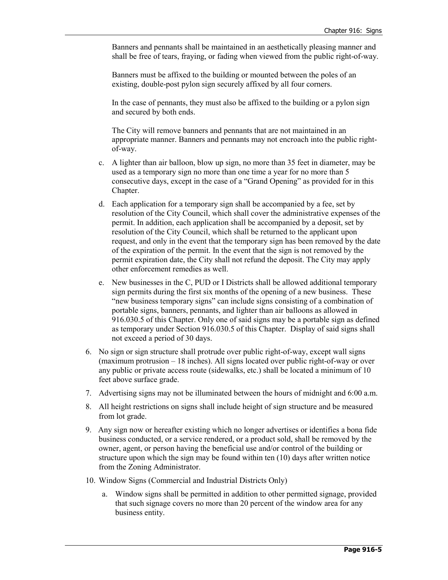Banners and pennants shall be maintained in an aesthetically pleasing manner and shall be free of tears, fraying, or fading when viewed from the public right-of-way.

Banners must be affixed to the building or mounted between the poles of an existing, double-post pylon sign securely affixed by all four corners.

In the case of pennants, they must also be affixed to the building or a pylon sign and secured by both ends.

The City will remove banners and pennants that are not maintained in an appropriate manner. Banners and pennants may not encroach into the public rightof-way.

- c. A lighter than air balloon, blow up sign, no more than 35 feet in diameter, may be used as a temporary sign no more than one time a year for no more than 5 consecutive days, except in the case of a "Grand Opening" as provided for in this Chapter.
- d. Each application for a temporary sign shall be accompanied by a fee, set by resolution of the City Council, which shall cover the administrative expenses of the permit. In addition, each application shall be accompanied by a deposit, set by resolution of the City Council, which shall be returned to the applicant upon request, and only in the event that the temporary sign has been removed by the date of the expiration of the permit. In the event that the sign is not removed by the permit expiration date, the City shall not refund the deposit. The City may apply other enforcement remedies as well.
- e. New businesses in the C, PUD or I Districts shall be allowed additional temporary sign permits during the first six months of the opening of a new business. These "new business temporary signs" can include signs consisting of a combination of portable signs, banners, pennants, and lighter than air balloons as allowed in 916.030.5 of this Chapter. Only one of said signs may be a portable sign as defined as temporary under Section 916.030.5 of this Chapter. Display of said signs shall not exceed a period of 30 days.
- 6. No sign or sign structure shall protrude over public right-of-way, except wall signs (maximum protrusion – 18 inches). All signs located over public right-of-way or over any public or private access route (sidewalks, etc.) shall be located a minimum of 10 feet above surface grade.
- 7. Advertising signs may not be illuminated between the hours of midnight and 6:00 a.m.
- 8. All height restrictions on signs shall include height of sign structure and be measured from lot grade.
- 9. Any sign now or hereafter existing which no longer advertises or identifies a bona fide business conducted, or a service rendered, or a product sold, shall be removed by the owner, agent, or person having the beneficial use and/or control of the building or structure upon which the sign may be found within ten (10) days after written notice from the Zoning Administrator.
- 10. Window Signs (Commercial and Industrial Districts Only)
	- a. Window signs shall be permitted in addition to other permitted signage, provided that such signage covers no more than 20 percent of the window area for any business entity.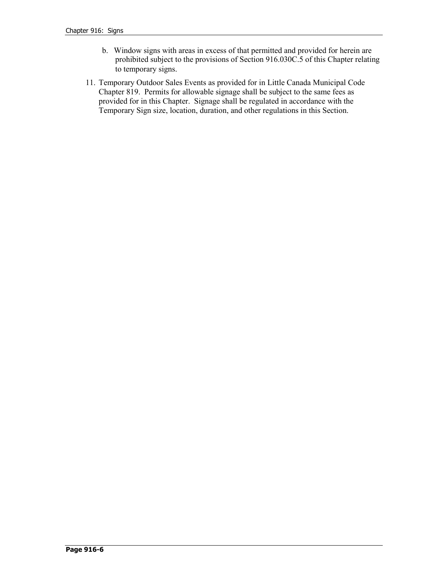- b. Window signs with areas in excess of that permitted and provided for herein are prohibited subject to the provisions of Section 916.030C.5 of this Chapter relating to temporary signs.
- 11. Temporary Outdoor Sales Events as provided for in Little Canada Municipal Code Chapter 819. Permits for allowable signage shall be subject to the same fees as provided for in this Chapter. Signage shall be regulated in accordance with the Temporary Sign size, location, duration, and other regulations in this Section.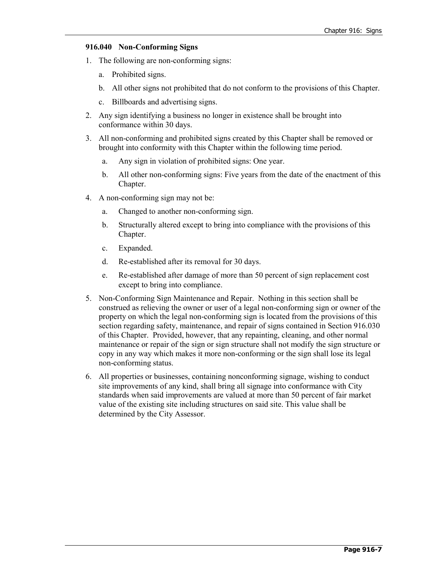## **916.040 Non-Conforming Signs**

- 1. The following are non-conforming signs:
	- a. Prohibited signs.
	- b. All other signs not prohibited that do not conform to the provisions of this Chapter.
	- c. Billboards and advertising signs.
- 2. Any sign identifying a business no longer in existence shall be brought into conformance within 30 days.
- 3. All non-conforming and prohibited signs created by this Chapter shall be removed or brought into conformity with this Chapter within the following time period.
	- a. Any sign in violation of prohibited signs: One year.
	- b. All other non-conforming signs: Five years from the date of the enactment of this Chapter.
- 4. A non-conforming sign may not be:
	- a. Changed to another non-conforming sign.
	- b. Structurally altered except to bring into compliance with the provisions of this Chapter.
	- c. Expanded.
	- d. Re-established after its removal for 30 days.
	- e. Re-established after damage of more than 50 percent of sign replacement cost except to bring into compliance.
- 5. Non-Conforming Sign Maintenance and Repair. Nothing in this section shall be construed as relieving the owner or user of a legal non-conforming sign or owner of the property on which the legal non-conforming sign is located from the provisions of this section regarding safety, maintenance, and repair of signs contained in Section 916.030 of this Chapter. Provided, however, that any repainting, cleaning, and other normal maintenance or repair of the sign or sign structure shall not modify the sign structure or copy in any way which makes it more non-conforming or the sign shall lose its legal non-conforming status.
- 6. All properties or businesses, containing nonconforming signage, wishing to conduct site improvements of any kind, shall bring all signage into conformance with City standards when said improvements are valued at more than 50 percent of fair market value of the existing site including structures on said site. This value shall be determined by the City Assessor.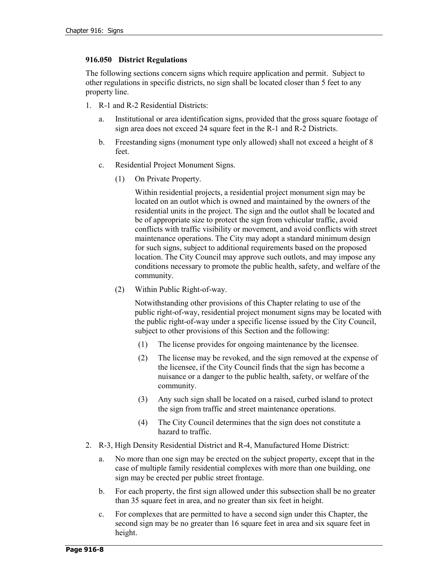### **916.050 District Regulations**

The following sections concern signs which require application and permit. Subject to other regulations in specific districts, no sign shall be located closer than 5 feet to any property line.

- 1. R-1 and R-2 Residential Districts:
	- a. Institutional or area identification signs, provided that the gross square footage of sign area does not exceed 24 square feet in the R-1 and R-2 Districts.
	- b. Freestanding signs (monument type only allowed) shall not exceed a height of 8 feet.
	- c. Residential Project Monument Signs.
		- (1) On Private Property.

Within residential projects, a residential project monument sign may be located on an outlot which is owned and maintained by the owners of the residential units in the project. The sign and the outlot shall be located and be of appropriate size to protect the sign from vehicular traffic, avoid conflicts with traffic visibility or movement, and avoid conflicts with street maintenance operations. The City may adopt a standard minimum design for such signs, subject to additional requirements based on the proposed location. The City Council may approve such outlots, and may impose any conditions necessary to promote the public health, safety, and welfare of the community.

(2) Within Public Right-of-way.

Notwithstanding other provisions of this Chapter relating to use of the public right-of-way, residential project monument signs may be located with the public right-of-way under a specific license issued by the City Council, subject to other provisions of this Section and the following:

- (1) The license provides for ongoing maintenance by the licensee.
- (2) The license may be revoked, and the sign removed at the expense of the licensee, if the City Council finds that the sign has become a nuisance or a danger to the public health, safety, or welfare of the community.
- (3) Any such sign shall be located on a raised, curbed island to protect the sign from traffic and street maintenance operations.
- (4) The City Council determines that the sign does not constitute a hazard to traffic.
- 2. R-3, High Density Residential District and R-4, Manufactured Home District:
	- a. No more than one sign may be erected on the subject property, except that in the case of multiple family residential complexes with more than one building, one sign may be erected per public street frontage.
	- b. For each property, the first sign allowed under this subsection shall be no greater than 35 square feet in area, and no greater than six feet in height.
	- c. For complexes that are permitted to have a second sign under this Chapter, the second sign may be no greater than 16 square feet in area and six square feet in height.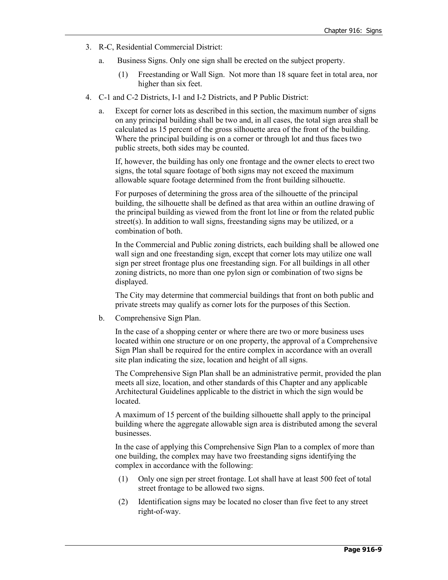- 3. R-C, Residential Commercial District:
	- a. Business Signs. Only one sign shall be erected on the subject property.
		- (1) Freestanding or Wall Sign. Not more than 18 square feet in total area, nor higher than six feet.
- 4. C-1 and C-2 Districts, I-1 and I-2 Districts, and P Public District:
	- a. Except for corner lots as described in this section, the maximum number of signs on any principal building shall be two and, in all cases, the total sign area shall be calculated as 15 percent of the gross silhouette area of the front of the building. Where the principal building is on a corner or through lot and thus faces two public streets, both sides may be counted.

If, however, the building has only one frontage and the owner elects to erect two signs, the total square footage of both signs may not exceed the maximum allowable square footage determined from the front building silhouette.

For purposes of determining the gross area of the silhouette of the principal building, the silhouette shall be defined as that area within an outline drawing of the principal building as viewed from the front lot line or from the related public street(s). In addition to wall signs, freestanding signs may be utilized, or a combination of both.

In the Commercial and Public zoning districts, each building shall be allowed one wall sign and one freestanding sign, except that corner lots may utilize one wall sign per street frontage plus one freestanding sign. For all buildings in all other zoning districts, no more than one pylon sign or combination of two signs be displayed.

The City may determine that commercial buildings that front on both public and private streets may qualify as corner lots for the purposes of this Section.

b. Comprehensive Sign Plan.

In the case of a shopping center or where there are two or more business uses located within one structure or on one property, the approval of a Comprehensive Sign Plan shall be required for the entire complex in accordance with an overall site plan indicating the size, location and height of all signs.

The Comprehensive Sign Plan shall be an administrative permit, provided the plan meets all size, location, and other standards of this Chapter and any applicable Architectural Guidelines applicable to the district in which the sign would be located.

A maximum of 15 percent of the building silhouette shall apply to the principal building where the aggregate allowable sign area is distributed among the several businesses.

In the case of applying this Comprehensive Sign Plan to a complex of more than one building, the complex may have two freestanding signs identifying the complex in accordance with the following:

- (1) Only one sign per street frontage. Lot shall have at least 500 feet of total street frontage to be allowed two signs.
- (2) Identification signs may be located no closer than five feet to any street right-of-way.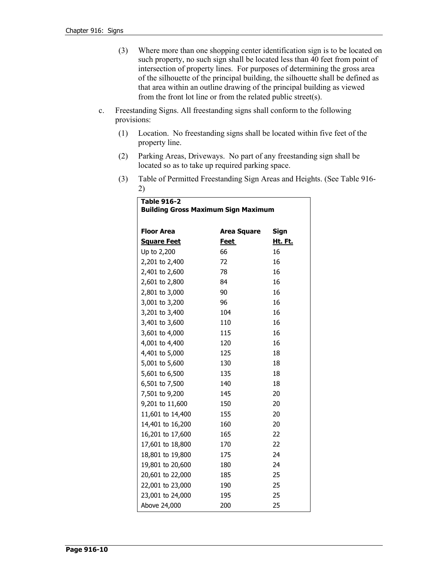- (3) Where more than one shopping center identification sign is to be located on such property, no such sign shall be located less than 40 feet from point of intersection of property lines. For purposes of determining the gross area of the silhouette of the principal building, the silhouette shall be defined as that area within an outline drawing of the principal building as viewed from the front lot line or from the related public street(s).
- c. Freestanding Signs. All freestanding signs shall conform to the following provisions:
	- (1) Location. No freestanding signs shall be located within five feet of the property line.
	- (2) Parking Areas, Driveways. No part of any freestanding sign shall be located so as to take up required parking space.
	- (3) Table of Permitted Freestanding Sign Areas and Heights. (See Table 916- 2)

| <b>Table 916-2</b>                         |                    |                |  |  |  |  |
|--------------------------------------------|--------------------|----------------|--|--|--|--|
| <b>Building Gross Maximum Sign Maximum</b> |                    |                |  |  |  |  |
| <b>Floor Area</b>                          | <b>Area Square</b> | Sign           |  |  |  |  |
| <b>Square Feet</b>                         | <b>Feet</b>        | <u>Ht. Ft.</u> |  |  |  |  |
| Up to 2,200                                | 66                 | 16             |  |  |  |  |
| 2,201 to 2,400                             | 72                 | 16             |  |  |  |  |
| 2,401 to 2,600                             | 78                 | 16             |  |  |  |  |
| 2,601 to 2,800                             | 84                 | 16             |  |  |  |  |
| 2,801 to 3,000                             | 90                 | 16             |  |  |  |  |
| 3,001 to 3,200                             | 96                 | 16             |  |  |  |  |
| 3,201 to 3,400                             | 104                | 16             |  |  |  |  |
| 3,401 to 3,600                             | 110                | 16             |  |  |  |  |
| 3,601 to 4,000                             | 115                | 16             |  |  |  |  |
| 4,001 to 4,400                             | 120                | 16             |  |  |  |  |
| 4,401 to 5,000                             | 125                | 18             |  |  |  |  |
| 5,001 to 5,600                             | 130                | 18             |  |  |  |  |
| 5,601 to 6,500                             | 135                | 18             |  |  |  |  |
| 6,501 to 7,500                             | 140                | 18             |  |  |  |  |
| 7,501 to 9,200                             | 145                | 20             |  |  |  |  |
| 9,201 to 11,600                            | 150                | 20             |  |  |  |  |
| 11,601 to 14,400                           | 155                | 20             |  |  |  |  |
| 14,401 to 16,200                           | 160                | 20             |  |  |  |  |
| 16,201 to 17,600                           | 165                | 22             |  |  |  |  |
| 17,601 to 18,800                           | 170                | 22             |  |  |  |  |
| 18,801 to 19,800                           | 175                | 24             |  |  |  |  |
| 19,801 to 20,600                           | 180                | 24             |  |  |  |  |
| 20,601 to 22,000                           | 185                | 25             |  |  |  |  |
| 22,001 to 23,000                           | 190                | 25             |  |  |  |  |
| 23,001 to 24,000                           | 195                | 25             |  |  |  |  |
| Above 24,000                               | 200                | 25             |  |  |  |  |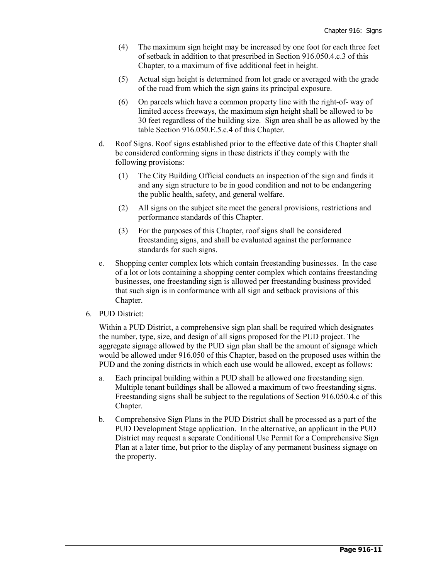- (4) The maximum sign height may be increased by one foot for each three feet of setback in addition to that prescribed in Section 916.050.4.c.3 of this Chapter, to a maximum of five additional feet in height.
- (5) Actual sign height is determined from lot grade or averaged with the grade of the road from which the sign gains its principal exposure.
- (6) On parcels which have a common property line with the right-of- way of limited access freeways, the maximum sign height shall be allowed to be 30 feet regardless of the building size. Sign area shall be as allowed by the table Section 916.050.E.5.c.4 of this Chapter.
- d. Roof Signs. Roof signs established prior to the effective date of this Chapter shall be considered conforming signs in these districts if they comply with the following provisions:
	- (1) The City Building Official conducts an inspection of the sign and finds it and any sign structure to be in good condition and not to be endangering the public health, safety, and general welfare.
	- (2) All signs on the subject site meet the general provisions, restrictions and performance standards of this Chapter.
	- (3) For the purposes of this Chapter, roof signs shall be considered freestanding signs, and shall be evaluated against the performance standards for such signs.
- e. Shopping center complex lots which contain freestanding businesses. In the case of a lot or lots containing a shopping center complex which contains freestanding businesses, one freestanding sign is allowed per freestanding business provided that such sign is in conformance with all sign and setback provisions of this Chapter.
- 6. PUD District:

Within a PUD District, a comprehensive sign plan shall be required which designates the number, type, size, and design of all signs proposed for the PUD project. The aggregate signage allowed by the PUD sign plan shall be the amount of signage which would be allowed under 916.050 of this Chapter, based on the proposed uses within the PUD and the zoning districts in which each use would be allowed, except as follows:

- a. Each principal building within a PUD shall be allowed one freestanding sign. Multiple tenant buildings shall be allowed a maximum of two freestanding signs. Freestanding signs shall be subject to the regulations of Section 916.050.4.c of this Chapter.
- b. Comprehensive Sign Plans in the PUD District shall be processed as a part of the PUD Development Stage application. In the alternative, an applicant in the PUD District may request a separate Conditional Use Permit for a Comprehensive Sign Plan at a later time, but prior to the display of any permanent business signage on the property.